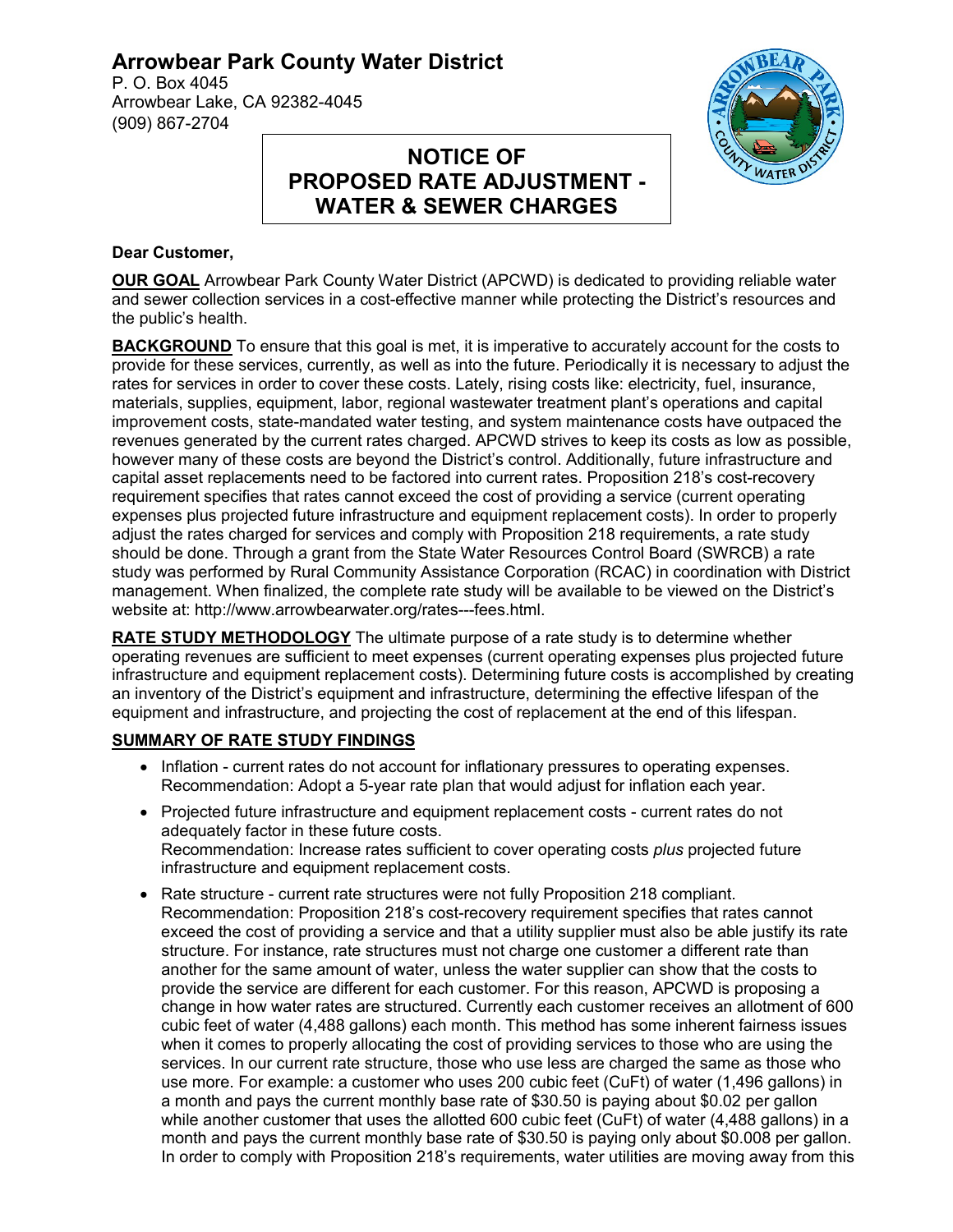# **Arrowbear Park County Water District**

P. O. Box 4045 Arrowbear Lake, CA 92382-4045 (909) 867-2704

# **NOTICE OF PROPOSED RATE ADJUSTMENT - WATER & SEWER CHARGES**



#### **Dear Customer,**

**OUR GOAL** Arrowbear Park County Water District (APCWD) is dedicated to providing reliable water and sewer collection services in a cost-effective manner while protecting the District's resources and the public's health.

**BACKGROUND** To ensure that this goal is met, it is imperative to accurately account for the costs to provide for these services, currently, as well as into the future. Periodically it is necessary to adjust the rates for services in order to cover these costs. Lately, rising costs like: electricity, fuel, insurance, materials, supplies, equipment, labor, regional wastewater treatment plant's operations and capital improvement costs, state-mandated water testing, and system maintenance costs have outpaced the revenues generated by the current rates charged. APCWD strives to keep its costs as low as possible, however many of these costs are beyond the District's control. Additionally, future infrastructure and capital asset replacements need to be factored into current rates. Proposition 218's cost-recovery requirement specifies that rates cannot exceed the cost of providing a service (current operating expenses plus projected future infrastructure and equipment replacement costs). In order to properly adjust the rates charged for services and comply with Proposition 218 requirements, a rate study should be done. Through a grant from the State Water Resources Control Board (SWRCB) a rate study was performed by Rural Community Assistance Corporation (RCAC) in coordination with District management. When finalized, the complete rate study will be available to be viewed on the District's website at: http://www.arrowbearwater.org/rates---fees.html.

**RATE STUDY METHODOLOGY** The ultimate purpose of a rate study is to determine whether operating revenues are sufficient to meet expenses (current operating expenses plus projected future infrastructure and equipment replacement costs). Determining future costs is accomplished by creating an inventory of the District's equipment and infrastructure, determining the effective lifespan of the equipment and infrastructure, and projecting the cost of replacement at the end of this lifespan.

## **SUMMARY OF RATE STUDY FINDINGS**

- Inflation current rates do not account for inflationary pressures to operating expenses. Recommendation: Adopt a 5-year rate plan that would adjust for inflation each year.
- Projected future infrastructure and equipment replacement costs current rates do not adequately factor in these future costs. Recommendation: Increase rates sufficient to cover operating costs *plus* projected future infrastructure and equipment replacement costs.
- Rate structure current rate structures were not fully Proposition 218 compliant. Recommendation: Proposition 218's cost-recovery requirement specifies that rates cannot exceed the cost of providing a service and that a utility supplier must also be able justify its rate structure. For instance, rate structures must not charge one customer a different rate than another for the same amount of water, unless the water supplier can show that the costs to provide the service are different for each customer. For this reason, APCWD is proposing a change in how water rates are structured. Currently each customer receives an allotment of 600 cubic feet of water (4,488 gallons) each month. This method has some inherent fairness issues when it comes to properly allocating the cost of providing services to those who are using the services. In our current rate structure, those who use less are charged the same as those who use more. For example: a customer who uses 200 cubic feet (CuFt) of water (1,496 gallons) in a month and pays the current monthly base rate of \$30.50 is paying about \$0.02 per gallon while another customer that uses the allotted 600 cubic feet (CuFt) of water (4,488 gallons) in a month and pays the current monthly base rate of \$30.50 is paying only about \$0.008 per gallon. In order to comply with Proposition 218's requirements, water utilities are moving away from this